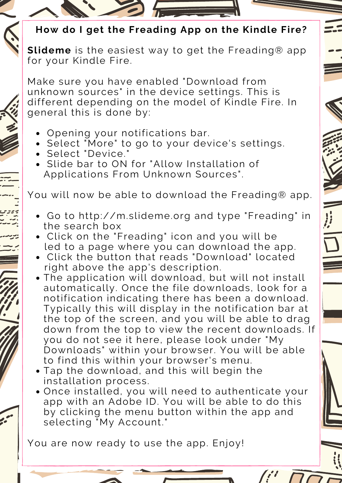- Opening your notifications bar.
- Select "More" to go to your device's settings.
- Select "Device."
- Slide bar to ON for "Allow Installation of Applications From Unknown Sources".

You will now be able to download the Freading® app.

**Slideme** is the easiest way to get the Freading® app for your Kindle Fire.

- Go to http://m.slideme.org and type "Freading" in the search box
- Click on the "Freading" icon and you will be led to a page where you can download the app.
- Click the button that reads "Download" located The application will download, but will not install automatically. Once the file downloads, look for a notification indicating there has been a download. Typically this will display in the notification bar at the top of the screen, and you will be able to drag down from the top to view the recent downloads. If you do not see it here, please look under "My Downloads" within your browser. You will be able to find this within your browser's menu. Tap the download, and this will begin the installation process. Once installed, you will need to authenticate your app with an Adobe ID. You will be able to do this by clicking the menu button within the app and selecting "My Account." right above the app's description.

You are now ready to use the app. Enjoy!

## **How do I get the Freading App on the Kindle Fire?**

Make sure you have enabled "Download from unknown sources" in the device settings. This is different depending on the model of Kindle Fire. In general this is done by: